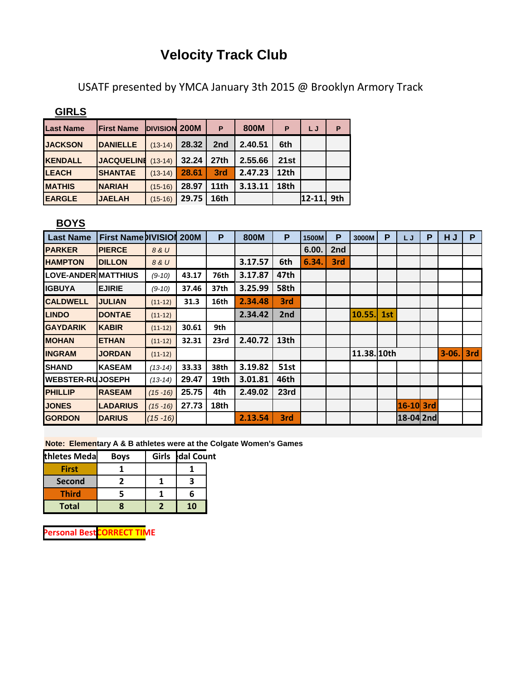## **Velocity Track Club**

USATF presented by YMCA January 3th 2015 @ Brooklyn Armory Track

**GIRLS**

| <b>Last Name</b> | <b>First Name</b> | <b>DIVISION 200M</b> |       | P                | 800M    | P                | LJ         | P   |
|------------------|-------------------|----------------------|-------|------------------|---------|------------------|------------|-----|
| <b>JACKSON</b>   | <b>DANIELLE</b>   | $(13-14)$            | 28.32 | 2nd              | 2.40.51 | 6th              |            |     |
| <b>KENDALL</b>   | <b>JACQUELINI</b> | $(13-14)$            | 32.24 | 27 <sub>th</sub> | 2.55.66 | 21st             |            |     |
| <b>LEACH</b>     | <b>SHANTAE</b>    | $(13-14)$            | 28.61 | 3rd              | 2.47.23 | 12 <sub>th</sub> |            |     |
| <b>MATHIS</b>    | <b>INARIAH</b>    | $(15-16)$            | 28.97 | 11 <sub>th</sub> | 3.13.11 | 18th             |            |     |
| <b>EARGLE</b>    | <b>JAELAH</b>     | $(15-16)$            | 29.75 | 16th             |         |                  | $12 - 11.$ | 9th |

## **BOYS**

| <b>Last Name</b>           | <b>First Name DIVISION</b> |             | <b>200M</b> | P    | 800M    | P                | 1500M | P   | 3000M       | P   | LJ        | P | HJ      | P   |
|----------------------------|----------------------------|-------------|-------------|------|---------|------------------|-------|-----|-------------|-----|-----------|---|---------|-----|
| <b>PARKER</b>              | <b>PIERCE</b>              | 8 & U       |             |      |         |                  | 6.00. | 2nd |             |     |           |   |         |     |
| <b>HAMPTON</b>             | <b>DILLON</b>              | 8 & U       |             |      | 3.17.57 | 6th              | 6.34. | 3rd |             |     |           |   |         |     |
| <b>LOVE-ANDERIMATTHIUS</b> |                            | $(9-10)$    | 43.17       | 76th | 3.17.87 | 47th             |       |     |             |     |           |   |         |     |
| <b>IGBUYA</b>              | <b>EJIRIE</b>              | $(9-10)$    | 37.46       | 37th | 3.25.99 | 58th             |       |     |             |     |           |   |         |     |
| <b>CALDWELL</b>            | <b>JULIAN</b>              | $(11-12)$   | 31.3        | 16th | 2.34.48 | 3rd              |       |     |             |     |           |   |         |     |
| <b>LINDO</b>               | <b>DONTAE</b>              | $(11-12)$   |             |      | 2.34.42 | 2nd              |       |     | 10.55.      | 1st |           |   |         |     |
| <b>GAYDARIK</b>            | <b>KABIR</b>               | $(11-12)$   | 30.61       | 9th  |         |                  |       |     |             |     |           |   |         |     |
| <b>MOHAN</b>               | <b>ETHAN</b>               | $(11-12)$   | 32.31       | 23rd | 2.40.72 | 13 <sub>th</sub> |       |     |             |     |           |   |         |     |
| <b>INGRAM</b>              | <b>JORDAN</b>              | $(11-12)$   |             |      |         |                  |       |     | 11.38. 10th |     |           |   | $3-06.$ | 3rd |
| ISHAND                     | <b>KASEAM</b>              | $(13-14)$   | 33.33       | 38th | 3.19.82 | <b>51st</b>      |       |     |             |     |           |   |         |     |
| <b>WEBSTER-RUJOSEPH</b>    |                            | $(13-14)$   | 29.47       | 19th | 3.01.81 | 46th             |       |     |             |     |           |   |         |     |
| <b>PHILLIP</b>             | <b>RASEAM</b>              | $(15 - 16)$ | 25.75       | 4th  | 2.49.02 | 23rd             |       |     |             |     |           |   |         |     |
| <b>JONES</b>               | <b>LADARIUS</b>            | $(15 - 16)$ | 27.73       | 18th |         |                  |       |     |             |     | 16-10 3rd |   |         |     |
| <b>GORDON</b>              | <b>DARIUS</b>              | $(15 - 16)$ |             |      | 2.13.54 | 3rd              |       |     |             |     | 18-04 2nd |   |         |     |

**Note: Elementary A & B athletes were at the Colgate Women's Games**

| thletes Meda | <b>Boys</b> | Girls dal Count |  |
|--------------|-------------|-----------------|--|
| <b>First</b> |             |                 |  |
| Second       |             |                 |  |
| <b>Third</b> |             |                 |  |
| <b>Total</b> |             | 10              |  |

**Personal Best CORRECT TIME**